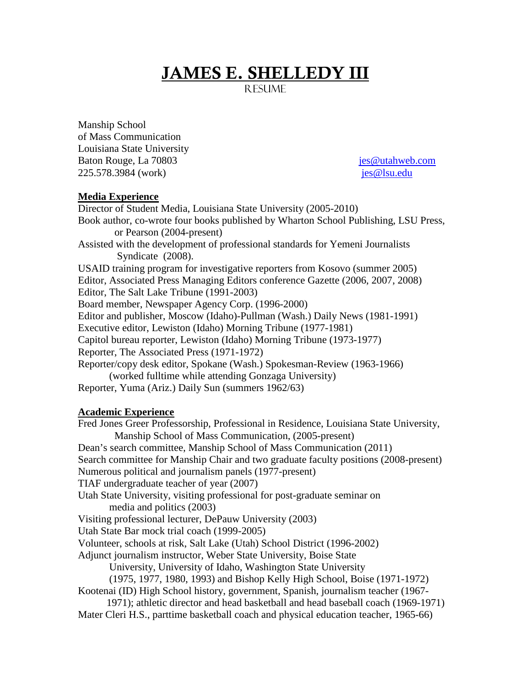# JAMES E. SHELLEDY III

R ESI IME

Manship School of Mass Communication Louisiana State University Baton Rouge, La 70803 [jes@utahweb.com](mailto:jes@utahweb.com) 225.578.3984 (work) [jes@lsu.edu](mailto:jes@lsu.edu)

# **Media Experience**

Director of Student Media, Louisiana State University (2005-2010) Book author, co-wrote four books published by Wharton School Publishing, LSU Press, or Pearson (2004-present) Assisted with the development of professional standards for Yemeni Journalists Syndicate (2008). USAID training program for investigative reporters from Kosovo (summer 2005) Editor, Associated Press Managing Editors conference Gazette (2006, 2007, 2008) Editor, The Salt Lake Tribune (1991-2003) Board member, Newspaper Agency Corp. (1996-2000) Editor and publisher, Moscow (Idaho)-Pullman (Wash.) Daily News (1981-1991) Executive editor, Lewiston (Idaho) Morning Tribune (1977-1981) Capitol bureau reporter, Lewiston (Idaho) Morning Tribune (1973-1977) Reporter, The Associated Press (1971-1972) Reporter/copy desk editor, Spokane (Wash.) Spokesman-Review (1963-1966) (worked fulltime while attending Gonzaga University) Reporter, Yuma (Ariz.) Daily Sun (summers 1962/63)

# **Academic Experience**

Fred Jones Greer Professorship, Professional in Residence, Louisiana State University, Manship School of Mass Communication, (2005-present) Dean's search committee, Manship School of Mass Communication (2011) Search committee for Manship Chair and two graduate faculty positions (2008-present) Numerous political and journalism panels (1977-present) TIAF undergraduate teacher of year (2007) Utah State University, visiting professional for post-graduate seminar on media and politics (2003) Visiting professional lecturer, DePauw University (2003) Utah State Bar mock trial coach (1999-2005) Volunteer, schools at risk, Salt Lake (Utah) School District (1996-2002) Adjunct journalism instructor, Weber State University, Boise State University, University of Idaho, Washington State University (1975, 1977, 1980, 1993) and Bishop Kelly High School, Boise (1971-1972) Kootenai (ID) High School history, government, Spanish, journalism teacher (1967- 1971); athletic director and head basketball and head baseball coach (1969-1971) Mater Cleri H.S., parttime basketball coach and physical education teacher, 1965-66)